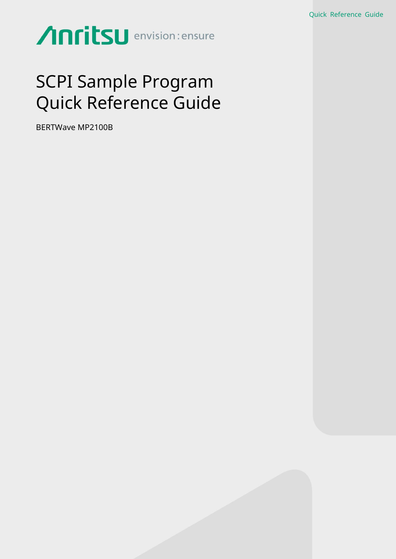# Anritsu envision: ensure

## SCPI Sample Program Quick Reference Guide

BERTWave MP2100B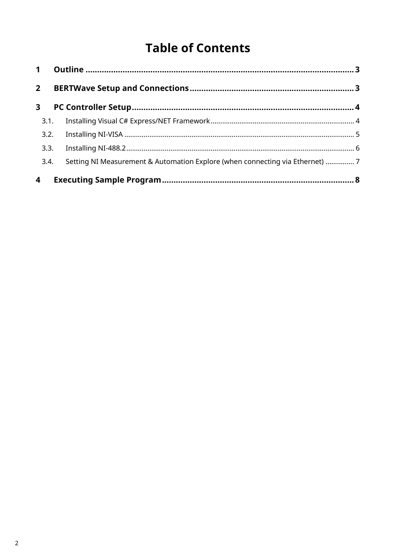## **Table of Contents**

| $\mathbf 1$ |  |                                                                               |  |
|-------------|--|-------------------------------------------------------------------------------|--|
| $2^{\circ}$ |  |                                                                               |  |
| 3           |  |                                                                               |  |
| 3.1.        |  |                                                                               |  |
| 3.2.        |  |                                                                               |  |
| 3.3.        |  |                                                                               |  |
| 3.4.        |  | Setting NI Measurement & Automation Explore (when connecting via Ethernet)  7 |  |
| 4           |  |                                                                               |  |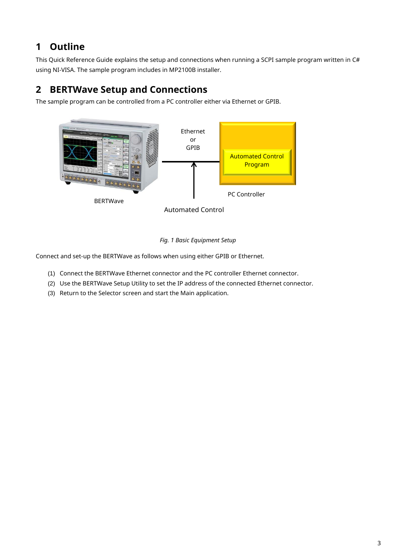## <span id="page-2-0"></span>**1 Outline**

This Quick Reference Guide explains the setup and connections when running a SCPI sample program written in C# using NI-VISA. The sample program includes in MP2100B installer.

## <span id="page-2-1"></span>**2 BERTWave Setup and Connections**

The sample program can be controlled from a PC controller either via Ethernet or GPIB.



### *Fig. 1 Basic Equipment Setup*

Connect and set-up the BERTWave as follows when using either GPIB or Ethernet.

- (1) Connect the BERTWave Ethernet connector and the PC controller Ethernet connector.
- (2) Use the BERTWave Setup Utility to set the IP address of the connected Ethernet connector.
- (3) Return to the Selector screen and start the Main application.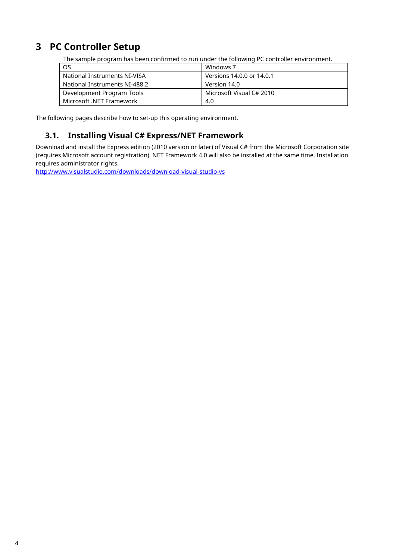## <span id="page-3-0"></span>**3 PC Controller Setup**

The sample program has been confirmed to run under the following PC controller environment.

|                               | Windows 7                 |
|-------------------------------|---------------------------|
| National Instruments NI-VISA  | Versions 14.0.0 or 14.0.1 |
| National Instruments NI-488.2 | Version 14.0              |
| Development Program Tools     | Microsoft Visual C# 2010  |
| Microsoft .NET Framework      | 4.0                       |

The following pages describe how to set-up this operating environment.

## <span id="page-3-1"></span>**3.1. Installing Visual C# Express/NET Framework**

Download and install the Express edition (2010 version or later) of Visual C# from the Microsoft Corporation site (requires Microsoft account registration). NET Framework 4.0 will also be installed at the same time. Installation requires administrator rights.

<http://www.visualstudio.com/downloads/download-visual-studio-vs>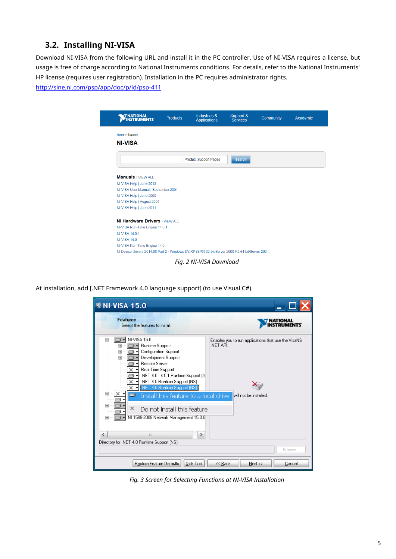### <span id="page-4-0"></span>**3.2. Installing NI-VISA**

Download NI-VISA from the following URL and install it in the PC controller. Use of NI-VISA requires a license, but usage is free of charge according to National Instruments conditions. For details, refer to the National Instruments' HP license (requires user registration). Installation in the PC requires administrator rights. <http://sine.ni.com/psp/app/doc/p/id/psp-411>

| <b>Z NATIONAL<br/>PINSTRUMENTS</b>                     | <b>Products</b> | Industries &<br><b>Applications</b> | Support &<br><b>Services</b> | Community | <b>Academic</b> |
|--------------------------------------------------------|-----------------|-------------------------------------|------------------------------|-----------|-----------------|
| Home > Support                                         |                 |                                     |                              |           |                 |
| <b>NI-VISA</b>                                         |                 |                                     |                              |           |                 |
|                                                        |                 |                                     |                              |           |                 |
|                                                        |                 | <b>Product Support Pages</b>        | <b>Search</b>                |           |                 |
|                                                        |                 |                                     |                              |           |                 |
| <b>Manuals   VIEW ALL</b>                              |                 |                                     |                              |           |                 |
| NI-VISA Help   June 2013                               |                 |                                     |                              |           |                 |
| NI-VISA User Manual   September 2001                   |                 |                                     |                              |           |                 |
| NI-VISA Help   June 2008                               |                 |                                     |                              |           |                 |
| NI-VISA Help   August 2004<br>NI-VISA Help   June 2011 |                 |                                     |                              |           |                 |
|                                                        |                 |                                     |                              |           |                 |
| <b>NI Hardware Drivers   VIEW ALL</b>                  |                 |                                     |                              |           |                 |
| NI-VISA Run-Time Engine 14.0.1                         |                 |                                     |                              |           |                 |
| NI-VISA 14.0.1                                         |                 |                                     |                              |           |                 |
| <b>NI-VISA 14.0</b>                                    |                 |                                     |                              |           |                 |
|                                                        |                 |                                     |                              |           |                 |
| NI-VISA Run-Time Engine 14.0                           |                 |                                     |                              |           |                 |

At installation, add [.NET Framework 4.0 language support] (to use Visual C#).

| <b>嗯 NI-VISA 15.0</b>                                                                                                                                                                                                                                                                                                                                                                                                                                                                   |                                                                                                    |
|-----------------------------------------------------------------------------------------------------------------------------------------------------------------------------------------------------------------------------------------------------------------------------------------------------------------------------------------------------------------------------------------------------------------------------------------------------------------------------------------|----------------------------------------------------------------------------------------------------|
| <b>Features</b><br>Select the features to install.                                                                                                                                                                                                                                                                                                                                                                                                                                      | <b>NATIONAL</b>                                                                                    |
| NI-VISA 15.0<br>Runtime Support<br>$\blacksquare$<br><b>Configuration Support</b><br>Ė<br>Development Support<br>÷<br><b>Remote Server</b><br>Real-Time Support<br>.NET 4.0 - 4.5.1 Runtime Support (IN<br>.NET 4.5 Runtime Support (NS)<br>.NET 4.0 Runtime Support (NS)<br>$\overline{+}$<br>⊟<br>Install this feature to a local drive<br>$\times$<br>Do not install this feature<br>NI 1588-2008 Network Management 15.0.0<br>∢<br>Ш<br>Directory for .NET 4.0 Runtime Support (NS) | Enables you to run applications that use the VisaNS<br>NFT APL<br>will not be installed.<br>Browse |
| Disk Cost<br>Restore Feature Defaults                                                                                                                                                                                                                                                                                                                                                                                                                                                   | << <u>B</u> ack<br>$Next$ $>$<br>Cancel                                                            |

*Fig. 3 Screen for Selecting Functions at NI-VISA Installation*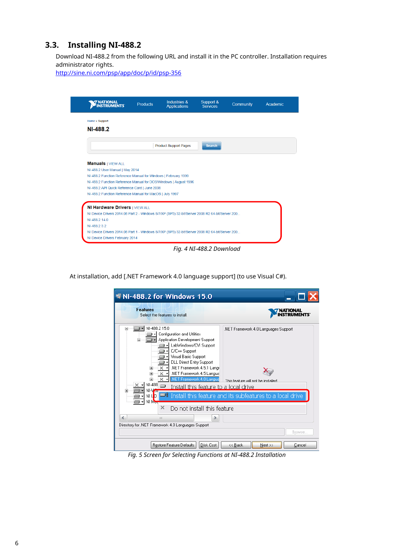### **3.3. Installing NI-488.2**

<span id="page-5-0"></span>Download NI-488.2 from the following URL and install it in the PC controller. Installation requires administrator rights.

<http://sine.ni.com/psp/app/doc/p/id/psp-356>

| <b>7 NATIONAL<br/>* INSTRUMENTS</b> *                                                           | <b>Products</b> | Industries &<br><b>Applications</b> | Support &<br><b>Services</b> | Community | <b>Academic</b> |
|-------------------------------------------------------------------------------------------------|-----------------|-------------------------------------|------------------------------|-----------|-----------------|
| Home > Support                                                                                  |                 |                                     |                              |           |                 |
| NI-488.2                                                                                        |                 |                                     |                              |           |                 |
|                                                                                                 |                 | <b>Product Support Pages</b>        | <b>Search</b>                |           |                 |
| <b>Manuals   VIEW ALL</b>                                                                       |                 |                                     |                              |           |                 |
| NI-488.2 User Manual   May 2014                                                                 |                 |                                     |                              |           |                 |
| NI-488.2 Function Reference Manual for Windows   February 1999                                  |                 |                                     |                              |           |                 |
| NI-488.2 Function Reference Manual for DOS/Windows   August 1996                                |                 |                                     |                              |           |                 |
| NI-488.2 API Quick Reference Card   June 2008                                                   |                 |                                     |                              |           |                 |
| NI-488.2 Function Reference Manual for MacOS   July 1997                                        |                 |                                     |                              |           |                 |
| <b>NI Hardware Drivers   VIEW ALL</b>                                                           |                 |                                     |                              |           |                 |
| NI Device Drivers 2014.08 Part 2 - Windows 8/7/XP (SP3) 32-bit/Server 2008 R2 64-bit/Server 200 |                 |                                     |                              |           |                 |
| NI-488.2 14.0                                                                                   |                 |                                     |                              |           |                 |
| NI-488 2 3 2                                                                                    |                 |                                     |                              |           |                 |
| NI Device Drivers 2014.08 Part 1 - Windows 8/7/XP (SP3) 32-bit/Server 2008 R2 64-bit/Server 200 |                 |                                     |                              |           |                 |
|                                                                                                 |                 |                                     |                              |           |                 |

*Fig. 4 NI-488.2 Download*

At installation, add [.NET Framework 4.0 language support] (to use Visual C#).

| <b>■ NI-488.2 for Windows 15.0</b>                                                                                                                                                                                                                                                                                                                                                                         |                                                                                                                                                        |
|------------------------------------------------------------------------------------------------------------------------------------------------------------------------------------------------------------------------------------------------------------------------------------------------------------------------------------------------------------------------------------------------------------|--------------------------------------------------------------------------------------------------------------------------------------------------------|
| <b>Features</b><br>Select the features to install.                                                                                                                                                                                                                                                                                                                                                         | IATIONAL                                                                                                                                               |
| NI-488.215.0<br>Configuration and Utilities<br>Application Development Support<br>- LabWindows/CVI Support<br>C/C++ Support<br>Visual Basic Support<br><b>DLL Direct Entry Support</b><br>.NET Framework 4.5.1 Langi<br>.NET Framework 4.5 Langua<br>NET Framework 4.0 Langua<br>NI-488<br>Install this feature to a local drive<br>NI Voi<br>NHJ D<br>NI MU<br>Do not install this feature<br>×<br>≺<br>Ш | .NET Framework 4.0 Languages Support<br>This feature will not be installed<br>$\blacksquare$ Install this feature and its subfeatures to a local drive |
| Directory for .NET Framework 4.0 Languages Support                                                                                                                                                                                                                                                                                                                                                         | Browse                                                                                                                                                 |
| Disk Cost<br>Restore Feature Defaults                                                                                                                                                                                                                                                                                                                                                                      | << Back<br>$Next \rightarrow$<br>Cancel                                                                                                                |

*Fig. 5 Screen for Selecting Functions at NI-488.2 Installation*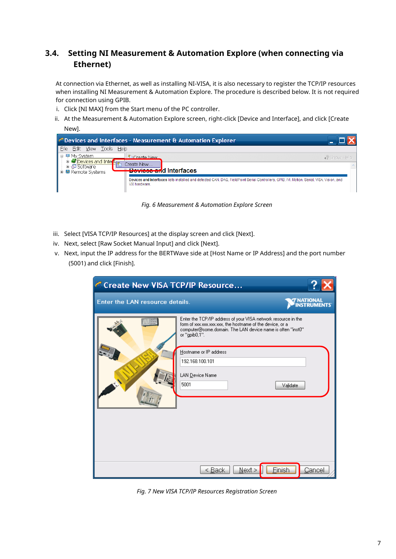### <span id="page-6-0"></span>**3.4. Setting NI Measurement & Automation Explore (when connecting via Ethernet)**

At connection via Ethernet, as well as installing NI-VISA, it is also necessary to register the TCP/IP resources when installing NI Measurement & Automation Explore. The procedure is described below. It is not required for connection using GPIB.

- i. Click [NI MAX] from the Start menu of the PC controller.
- ii. At the Measurement & Automation Explore screen, right-click [Device and Interface], and click [Create Newl.

| <b>C</b> Devices and Interfaces - Measurement & Automation Explorer                                                              |                                                                                                                                                            |  |  |  |  |
|----------------------------------------------------------------------------------------------------------------------------------|------------------------------------------------------------------------------------------------------------------------------------------------------------|--|--|--|--|
| l File<br>View<br>Tools<br>Edit<br>Help                                                                                          |                                                                                                                                                            |  |  |  |  |
| My System<br>E<br><b><i>Devices</i></b> and Inter <mark>fi<sub>lity</sub></mark><br><b>⊞ &amp; Software</b><br>-■ Remote Systems | <b>Theate New</b><br>Show Help<br>Create New<br><del>Il Deviecs ar</del> d Interfaces                                                                      |  |  |  |  |
|                                                                                                                                  | Devices and Interfaces lists installed and detected CAN, DAQ, FieldPoint Serial Controllers, GPIB, IVI, Motion, Serial, VISA, Vision, and<br>VXI hardware. |  |  |  |  |

*Fig. 6 Measurement & Automation Explore Screen*

- iii. Select [VISA TCP/IP Resources] at the display screen and click [Next].
- iv. Next, select [Raw Socket Manual Input] and click [Next].
- v. Next, input the IP address for the BERTWave side at [Host Name or IP Address] and the port number (5001) and click [Finish].

| Create New VISA TCP/IP Resource |                                                                                                                                                                                                           |                                         |
|---------------------------------|-----------------------------------------------------------------------------------------------------------------------------------------------------------------------------------------------------------|-----------------------------------------|
| Enter the LAN resource details. |                                                                                                                                                                                                           | <b>7 NATIONAL</b><br><b>INSTRUMENTS</b> |
|                                 | Enter the TCP/IP address of your VISA network resource in the<br>form of xxx.xxx.xxx.xxx, the hostname of the device, or a<br>computer@some.domain. The LAN device name is often "inst0"<br>or "gpib0,1". |                                         |
|                                 | Hostname or IP address                                                                                                                                                                                    |                                         |
|                                 | 192.168.100.101                                                                                                                                                                                           |                                         |
|                                 | LAN Device Name<br>5001<br>Validate                                                                                                                                                                       |                                         |
|                                 |                                                                                                                                                                                                           |                                         |
|                                 |                                                                                                                                                                                                           |                                         |
|                                 |                                                                                                                                                                                                           |                                         |
|                                 |                                                                                                                                                                                                           |                                         |
|                                 | Einish<br>< <u>B</u> ack<br>Next                                                                                                                                                                          | Cancel                                  |

*Fig. 7 New VISA TCP/IP Resources Registration Screen*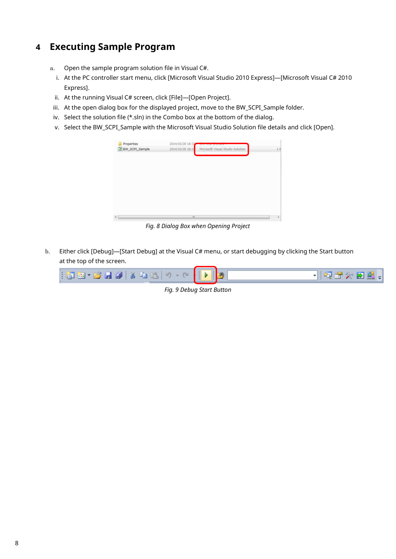## <span id="page-7-0"></span>**4 Executing Sample Program**

- a. Open the sample program solution file in Visual C#.
- i. At the PC controller start menu, click [Microsoft Visual Studio 2010 Express]―[Microsoft Visual C# 2010 Express].
- ii. At the running Visual C# screen, click [File]―[Open Project].
- iii. At the open dialog box for the displayed project, move to the BW\_SCPI\_Sample folder.
- iv. Select the solution file (\*.sln) in the Combo box at the bottom of the dialog.
- v. Select the BW\_SCPI\_Sample with the Microsoft Visual Studio Solution file details and click [Open].



*Fig. 8 Dialog Box when Opening Project*

b. Either click [Debug]―[Start Debug] at the Visual C# menu, or start debugging by clicking the Start button at the top of the screen.



*Fig. 9 Debug Start Button*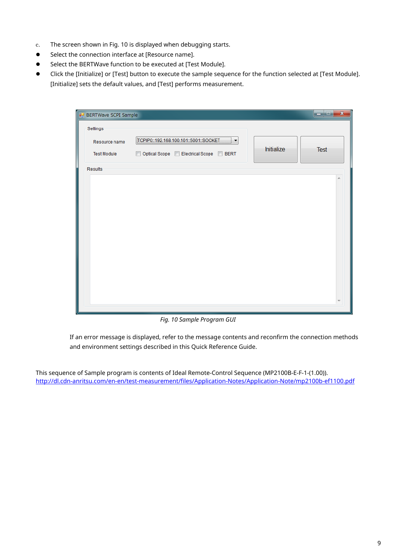- c. The screen shown in Fig. 10 is displayed when debugging starts.
- **•** Select the connection interface at [Resource name].
- Select the BERTWave function to be executed at [Test Module].
- Click the [Initialize] or [Test] button to execute the sample sequence for the function selected at [Test Module]. [Initialize] sets the default values, and [Test] performs measurement.

| <b>BERTWave SCPI Sample</b> |                                                                 |            | $\mathbf{x}$<br>فكتراص |
|-----------------------------|-----------------------------------------------------------------|------------|------------------------|
| Settings                    |                                                                 |            |                        |
| Resource name               | TCPIP0::192.168.100.101::5001::SOCKET<br>▼                      |            |                        |
| <b>Test Module</b>          | Optical Scope<br>Electrical Scope<br><b>BERT</b><br>$\Box$<br>n | Initialize | Test                   |
| Results                     |                                                                 |            |                        |
|                             |                                                                 |            |                        |
|                             |                                                                 |            |                        |
|                             |                                                                 |            |                        |
|                             |                                                                 |            |                        |
|                             |                                                                 |            |                        |
|                             |                                                                 |            |                        |
|                             |                                                                 |            |                        |
|                             |                                                                 |            |                        |
|                             |                                                                 |            |                        |
|                             |                                                                 |            |                        |

*Fig. 10 Sample Program GUI*

If an error message is displayed, refer to the message contents and reconfirm the connection methods and environment settings described in this Quick Reference Guide.

This sequence of Sample program is contents of Ideal Remote-Control Sequence (MP2100B-E-F-1-(1.00)). <http://dl.cdn-anritsu.com/en-en/test-measurement/files/Application-Notes/Application-Note/mp2100b-ef1100.pdf>